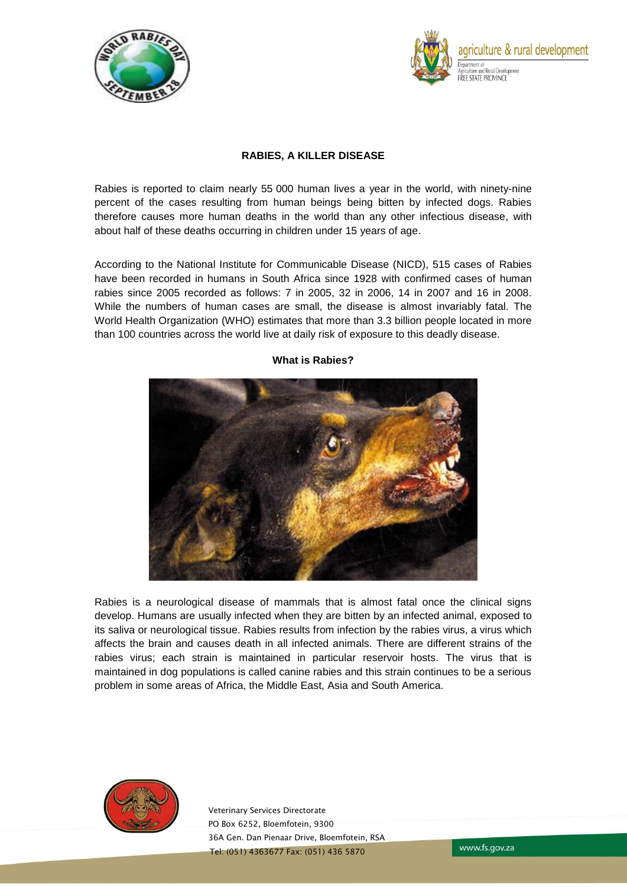



# **RABIES, A KILLER DISEASE**

Rabies is reported to claim nearly 55 000 human lives a year in the world, with ninety-nine percent of the cases resulting from human beings being bitten by infected dogs. Rabies therefore causes more human deaths in the world than any other infectious disease, with about half of these deaths occurring in children under 15 years of age.

According to the National Institute for Communicable Disease (NICD), 515 cases of Rabies have been recorded in humans in South Africa since 1928 with confirmed cases of human rabies since 2005 recorded as follows: 7 in 2005, 32 in 2006, 14 in 2007 and 16 in 2008. While the numbers of human cases are small, the disease is almost invariably fatal. The World Health Organization (WHO) estimates that more than 3.3 billion people located in more than 100 countries across the world live at daily risk of exposure to this deadly disease.



#### **What is Rabies?**

Rabies is a neurological disease of mammals that is almost fatal once the clinical signs develop. Humans are usually infected when they are bitten by an infected animal, exposed to its saliva or neurological tissue. Rabies results from infection by the rabies virus, a virus which affects the brain and causes death in all infected animals. There are different strains of the rabies virus; each strain is maintained in particular reservoir hosts. The virus that is maintained in dog populations is called canine rabies and this strain continues to be a serious problem in some areas of Africa, the Middle East, Asia and South America.



Veterinary Services Directorate PO Box 6252, Bloemfotein, 9300 36A Gen. Dan Pienaar Drive, Bloemfotein, RSA Tel: (051) 4363677 Fax: (051) 436 5870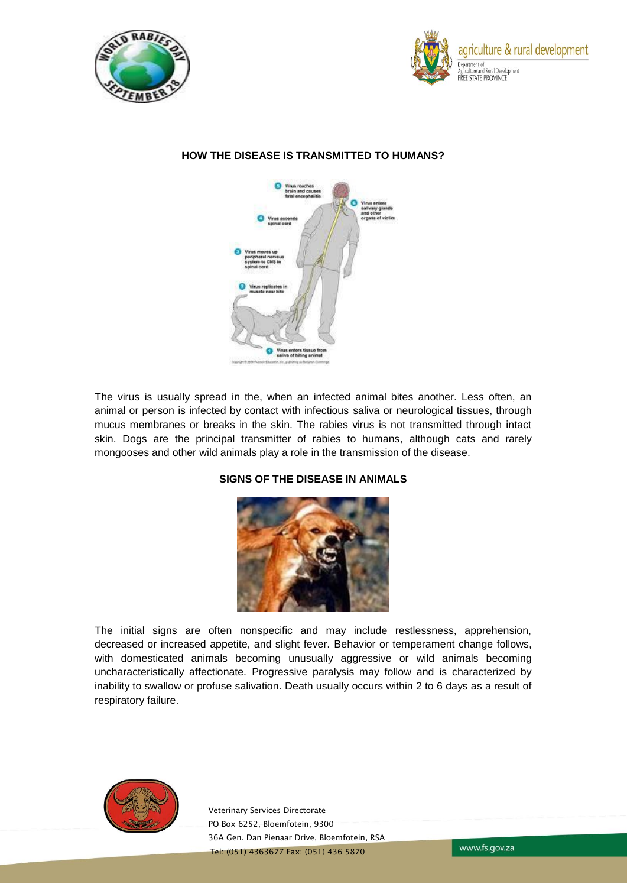





# **HOW THE DISEASE IS TRANSMITTED TO HUMANS?**

The virus is usually spread in the, when an infected animal bites another. Less often, an animal or person is infected by contact with infectious saliva or neurological tissues, through mucus membranes or breaks in the skin. The rabies virus is not transmitted through intact skin. Dogs are the principal transmitter of rabies to humans, although cats and rarely mongooses and other wild animals play a role in the transmission of the disease.

## **SIGNS OF THE DISEASE IN ANIMALS**



The initial signs are often nonspecific and may include restlessness, apprehension, decreased or increased appetite, and slight fever. Behavior or temperament change follows, with domesticated animals becoming unusually aggressive or wild animals becoming uncharacteristically affectionate. Progressive paralysis may follow and is characterized by inability to swallow or profuse salivation. Death usually occurs within 2 to 6 days as a result of respiratory failure.



Veterinary Services Directorate PO Box 6252, Bloemfotein, 9300 36A Gen. Dan Pienaar Drive, Bloemfotein, RSA Tel: (051) 4363677 Fax: (051) 436 5870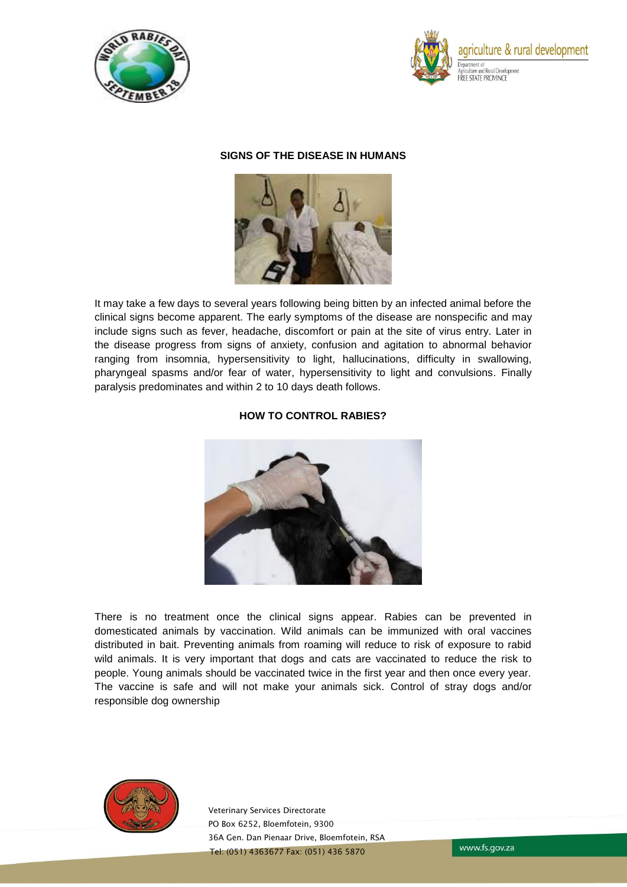



## **SIGNS OF THE DISEASE IN HUMANS**



It may take a few days to several years following being bitten by an infected animal before the clinical signs become apparent. The early symptoms of the disease are nonspecific and may include signs such as fever, headache, discomfort or pain at the site of virus entry. Later in the disease progress from signs of anxiety, confusion and agitation to abnormal behavior ranging from insomnia, hypersensitivity to light, hallucinations, difficulty in swallowing, pharyngeal spasms and/or fear of water, hypersensitivity to light and convulsions. Finally paralysis predominates and within 2 to 10 days death follows.

# **HOW TO CONTROL RABIES?**



There is no treatment once the clinical signs appear. Rabies can be prevented in domesticated animals by vaccination. Wild animals can be immunized with oral vaccines distributed in bait. Preventing animals from roaming will reduce to risk of exposure to rabid wild animals. It is very important that dogs and cats are vaccinated to reduce the risk to people. Young animals should be vaccinated twice in the first year and then once every year. The vaccine is safe and will not make your animals sick. Control of stray dogs and/or responsible dog ownership



Veterinary Services Directorate PO Box 6252, Bloemfotein, 9300 36A Gen. Dan Pienaar Drive, Bloemfotein, RSA Tel: (051) 4363677 Fax: (051) 436 5870

www.fs.gov.za